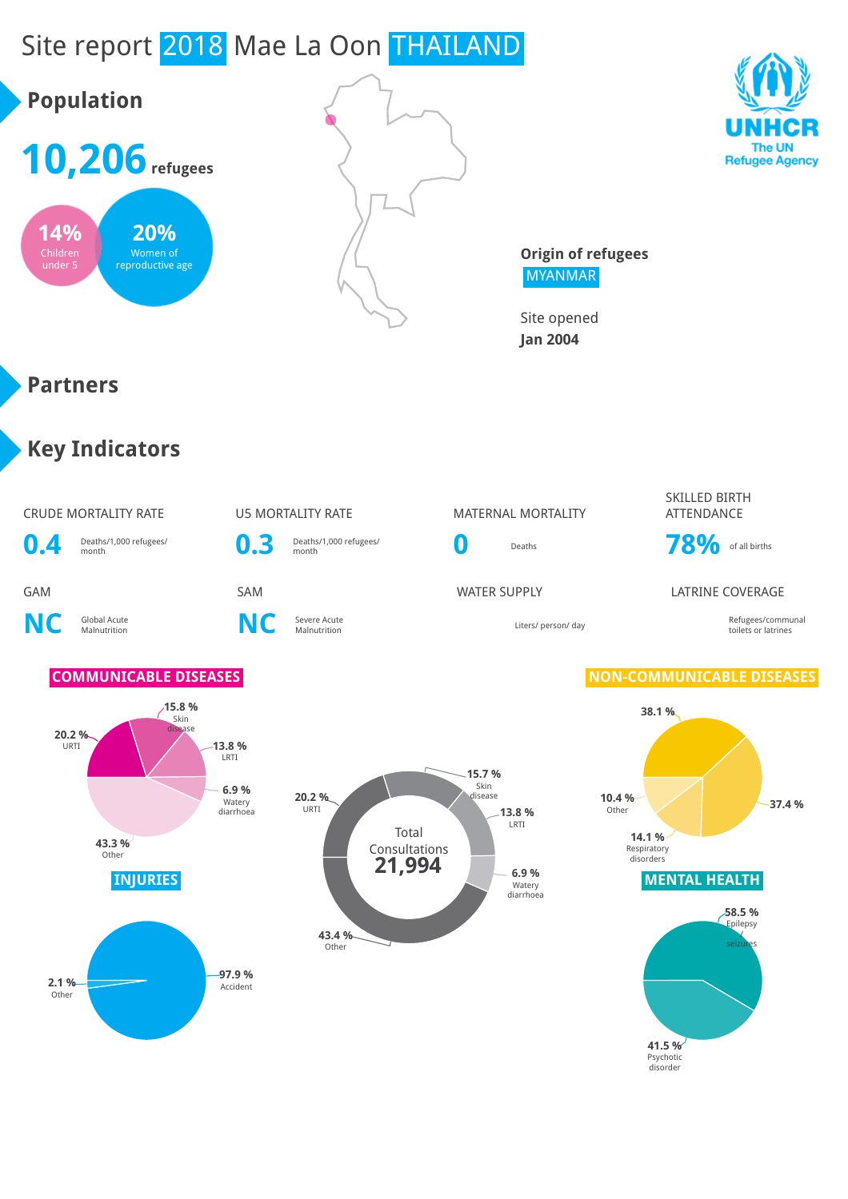# Site report 2018 Mae La Oon THAILAND





**Origin of refugees** MYANMAR

> **41.5 %** Psychotic disorder

Site opened **Jan 2004**

#### **Partners**

### **Key Indicators**

#### CRUDE MORTALITY RATE U5 MORTALITY RATE MATERNAL MORTALITY SKILLED BIRTH **ATTFNDANCE 0.4** Deaths/1,000 refugees/ **0.3** Deaths/1,000 refugees/ **0** Deaths **78%** of all births GAM SAM SAM SAM WATER SUPPLY LATRINE COVERAGE **NC** Global Acute **C** Severe Acute<br>Malnutrition **NC** Severe Acute Malnutrition Liters/ person/ day Refugees/communal toilets or latrines **COMMUNICABLE DISEASES NON-COMMUNICABLE DISEASES INJURIES MENTAL HEALTH 20.2 %** URTI **15.8 %** Skin disease **13.8 %** LRTI **6.9 %** Watery diarrhoea **43.3 % Other 38.1 % 37.4 % 14.1 %** Respiratory disorders **10.4 %** Other **97.9 % 2.1 %** Accident Other **58.5 %** Epilepsy / seizures Total Consultations **20.2 %** URTI **15.7 %** Skin o.....<br>isease **13.8 %** LRTI **6.9 % Watery** diarrhoea **43.4 %** Other **21,994**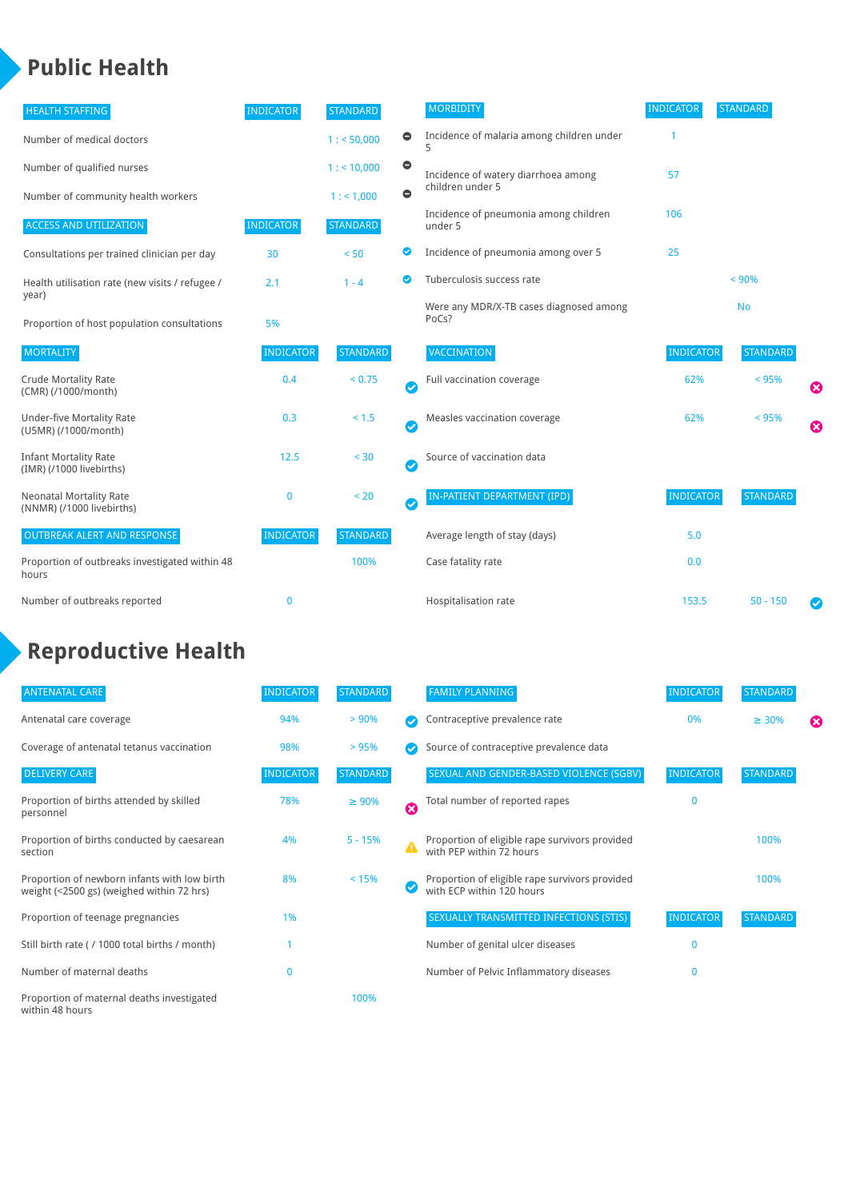#### **Public Health**

| <b>HEALTH STAFFING</b>                                      | <b>INDICATOR</b> | <b>STANDARD</b> |           | <b>MORBIDITY</b>                                 | <b>INDICATOR</b> | <b>STANDARD</b> |   |
|-------------------------------------------------------------|------------------|-----------------|-----------|--------------------------------------------------|------------------|-----------------|---|
| Number of medical doctors                                   |                  | 1: 50,000       | $\bullet$ | Incidence of malaria among children under        |                  |                 |   |
| Number of qualified nurses                                  |                  | 1:10,000        | $\bullet$ | Incidence of watery diarrhoea among              | 57               |                 |   |
| Number of community health workers                          |                  | 1: 1,000        | $\bullet$ | children under 5                                 |                  |                 |   |
| <b>ACCESS AND UTILIZATION</b>                               | <b>INDICATOR</b> | <b>STANDARD</b> |           | Incidence of pneumonia among children<br>under 5 | 106              |                 |   |
| Consultations per trained clinician per day                 | 30               | < 50            | ◉         | Incidence of pneumonia among over 5              | 25               |                 |   |
| Health utilisation rate (new visits / refugee /             | 2.1              | $1 - 4$         | ◙         | Tuberculosis success rate                        |                  | < 90%           |   |
| year)<br>Proportion of host population consultations        | 5%               |                 |           | Were any MDR/X-TB cases diagnosed among<br>PoCs? |                  | <b>No</b>       |   |
| <b>MORTALITY</b>                                            | <b>INDICATOR</b> | <b>STANDARD</b> |           | VACCINATION                                      | <b>INDICATOR</b> | <b>STANDARD</b> |   |
| <b>Crude Mortality Rate</b><br>(CMR) (/1000/month)          | 0.4              | < 0.75          | Ø         | Full vaccination coverage                        | 62%              | < 95%           | Ø |
| <b>Under-five Mortality Rate</b><br>(U5MR) (/1000/month)    | 0.3              | < 1.5           | Ø         | Measles vaccination coverage                     | 62%              | < 95%           | Ø |
| <b>Infant Mortality Rate</b><br>(IMR) (/1000 livebirths)    | 12.5             | < 30            | Ø         | Source of vaccination data                       |                  |                 |   |
| <b>Neonatal Mortality Rate</b><br>(NNMR) (/1000 livebirths) | $\mathbf 0$      | < 20            | $\bullet$ | IN-PATIENT DEPARTMENT (IPD)                      | <b>INDICATOR</b> | <b>STANDARD</b> |   |
| <b>OUTBREAK ALERT AND RESPONSE</b>                          | <b>INDICATOR</b> | <b>STANDARD</b> |           | Average length of stay (days)                    | 5.0              |                 |   |
| Proportion of outbreaks investigated within 48<br>hours     |                  | 100%            |           | Case fatality rate                               | 0.0              |                 |   |
| Number of outbreaks reported                                | $\mathbf 0$      |                 |           | Hospitalisation rate                             | 153.5            | $50 - 150$      |   |

# **Reproductive Health**

| <b>ANTENATAL CARE</b>                                                                     | <b>INDICATOR</b> | <b>STANDARD</b> |                  | <b>FAMILY PLANNING</b>                                                      | <b>INDICATOR</b> | <b>STANDARD</b> |   |
|-------------------------------------------------------------------------------------------|------------------|-----------------|------------------|-----------------------------------------------------------------------------|------------------|-----------------|---|
| Antenatal care coverage                                                                   | 94%              | > 90%           |                  | Contraceptive prevalence rate                                               | 0%               | $\geq 30\%$     | ⊠ |
| Coverage of antenatal tetanus vaccination                                                 | 98%              | >95%            |                  | Source of contraceptive prevalence data                                     |                  |                 |   |
| <b>DELIVERY CARE</b>                                                                      | <b>INDICATOR</b> | <b>STANDARD</b> |                  | SEXUAL AND GENDER-BASED VIOLENCE (SGBV)                                     | <b>INDICATOR</b> | <b>STANDARD</b> |   |
| Proportion of births attended by skilled<br>personnel                                     | 78%              | $\geq 90\%$     | Ø                | Total number of reported rapes                                              | $\mathbf{0}$     |                 |   |
| Proportion of births conducted by caesarean<br>section                                    | 4%               | $5 - 15%$       | $\blacktriangle$ | Proportion of eligible rape survivors provided<br>with PEP within 72 hours  |                  | 100%            |   |
| Proportion of newborn infants with low birth<br>weight (<2500 gs) (weighed within 72 hrs) | 8%               | < 15%           |                  | Proportion of eligible rape survivors provided<br>with ECP within 120 hours |                  | 100%            |   |
| Proportion of teenage pregnancies                                                         | 1%               |                 |                  | SEXUALLY TRANSMITTED INFECTIONS (STIS)                                      | <b>INDICATOR</b> | <b>STANDARD</b> |   |
| Still birth rate (/ 1000 total births / month)                                            |                  |                 |                  | Number of genital ulcer diseases                                            | $\mathbf{0}$     |                 |   |
| Number of maternal deaths                                                                 | $\mathbf{0}$     |                 |                  | Number of Pelvic Inflammatory diseases                                      | $\mathbf{0}$     |                 |   |
| Proportion of maternal deaths investigated<br>within 48 hours                             |                  | 100%            |                  |                                                                             |                  |                 |   |